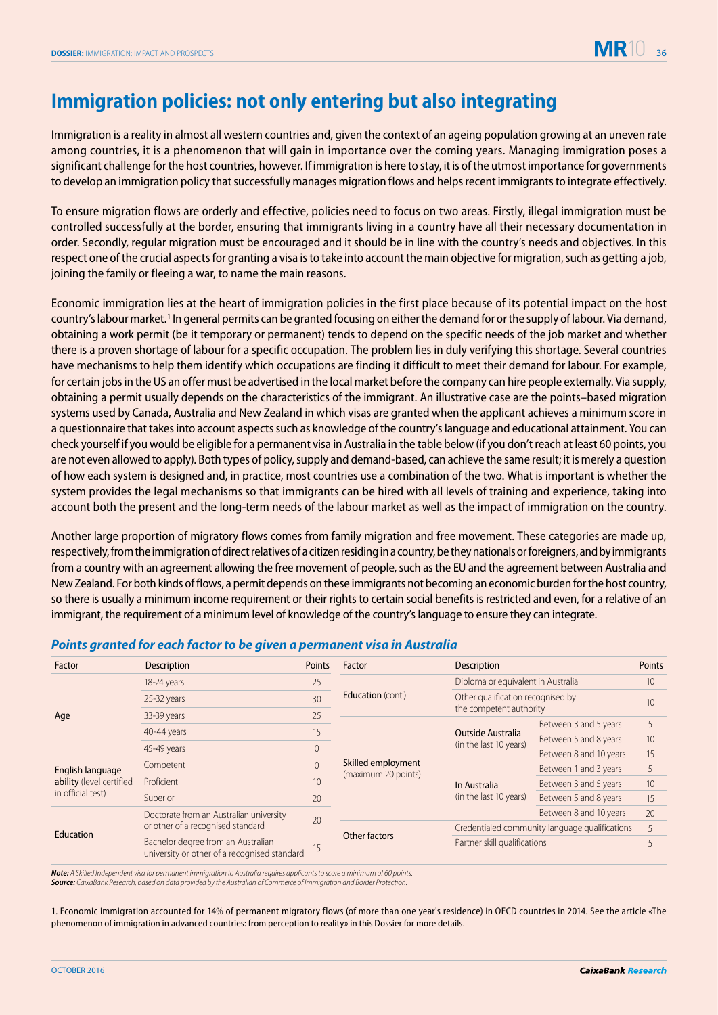## **Immigration policies: not only entering but also integrating**

Immigration is a reality in almost all western countries and, given the context of an ageing population growing at an uneven rate among countries, it is a phenomenon that will gain in importance over the coming years. Managing immigration poses a significant challenge for the host countries, however. If immigration is here to stay, it is of the utmost importance for governments to develop an immigration policy that successfully manages migration flows and helps recent immigrants to integrate effectively.

To ensure migration flows are orderly and effective, policies need to focus on two areas. Firstly, illegal immigration must be controlled successfully at the border, ensuring that immigrants living in a country have all their necessary documentation in order. Secondly, regular migration must be encouraged and it should be in line with the country's needs and objectives. In this respect one of the crucial aspects for granting a visa is to take into account the main objective for migration, such as getting a job, joining the family or fleeing a war, to name the main reasons.

Economic immigration lies at the heart of immigration policies in the first place because of its potential impact on the host country's labour market.<sup>1</sup> In general permits can be granted focusing on either the demand for or the supply of labour. Via demand, obtaining a work permit (be it temporary or permanent) tends to depend on the specific needs of the job market and whether there is a proven shortage of labour for a specific occupation. The problem lies in duly verifying this shortage. Several countries have mechanisms to help them identify which occupations are finding it difficult to meet their demand for labour. For example, for certain jobs in the US an offer must be advertised in the local market before the company can hire people externally. Via supply, obtaining a permit usually depends on the characteristics of the immigrant. An illustrative case are the points–based migration systems used by Canada, Australia and New Zealand in which visas are granted when the applicant achieves a minimum score in a questionnaire that takes into account aspects such as knowledge of the country's language and educational attainment. You can check yourself if you would be eligible for a permanent visa in Australia in the table below (if you don't reach at least 60 points, you are not even allowed to apply). Both types of policy, supply and demand-based, can achieve the same result; it is merely a question of how each system is designed and, in practice, most countries use a combination of the two. What is important is whether the system provides the legal mechanisms so that immigrants can be hired with all levels of training and experience, taking into account both the present and the long-term needs of the labour market as well as the impact of immigration on the country.

Another large proportion of migratory flows comes from family migration and free movement. These categories are made up, respectively, from the immigration of direct relatives of a citizen residing in a country, be they nationals or foreigners, and by immigrants from a country with an agreement allowing the free movement of people, such as the EU and the agreement between Australia and New Zealand. For both kinds of flows, a permit depends on these immigrants not becoming an economic burden for the host country, so there is usually a minimum income requirement or their rights to certain social benefits is restricted and even, for a relative of an immigrant, the requirement of a minimum level of knowledge of the country's language to ensure they can integrate.

| Factor                                                            | <b>Description</b>                                                                 | Points         | Factor                                    | <b>Description</b>                                           |                        | Points |
|-------------------------------------------------------------------|------------------------------------------------------------------------------------|----------------|-------------------------------------------|--------------------------------------------------------------|------------------------|--------|
| Age                                                               | 18-24 years                                                                        | 25             | Education (cont.)                         | Diploma or equivalent in Australia                           |                        | 10     |
|                                                                   | 25-32 years                                                                        | 30             |                                           | Other qualification recognised by<br>the competent authority |                        | 10     |
|                                                                   | 33-39 years                                                                        | 25             | Skilled employment<br>(maximum 20 points) | Between 3 and 5 years                                        |                        | 5      |
|                                                                   | 40-44 years                                                                        | 15             |                                           | Outside Australia<br>(in the last 10 years)                  |                        |        |
|                                                                   | 45-49 years                                                                        | $\overline{0}$ |                                           |                                                              | Between 5 and 8 years  | 10     |
| English language<br>ability (level certified<br>in official test) |                                                                                    |                |                                           |                                                              | Between 8 and 10 years | 15     |
|                                                                   | Competent                                                                          | $\Omega$       |                                           | In Australia<br>(in the last 10 years)                       | Between 1 and 3 years  | 5      |
|                                                                   | Proficient                                                                         | 10             |                                           |                                                              | Between 3 and 5 years  | 10     |
|                                                                   | Superior                                                                           | 20             |                                           |                                                              | Between 5 and 8 years  | 15     |
| Education                                                         | Doctorate from an Australian university                                            | 20             |                                           |                                                              | Between 8 and 10 years | 20     |
|                                                                   | or other of a recognised standard                                                  |                | Other factors                             | Credentialed community language qualifications               |                        | 5      |
|                                                                   | Bachelor degree from an Australian<br>university or other of a recognised standard | 15             |                                           | Partner skill qualifications                                 |                        |        |

## *Points granted for each factor to be given a permanent visa in Australia*

*Note: A Skilled Independent visa for permanent immigration to Australia requires applicants to score a minimum of 60 points. Source: CaixaBank Research, based on data provided by the Australian of Commerce of Immigration and Border Protection.*

1. Economic immigration accounted for 14% of permanent migratory flows (of more than one year's residence) in OECD countries in 2014. See the article «The phenomenon of immigration in advanced countries: from perception to reality» in this Dossier for more details.